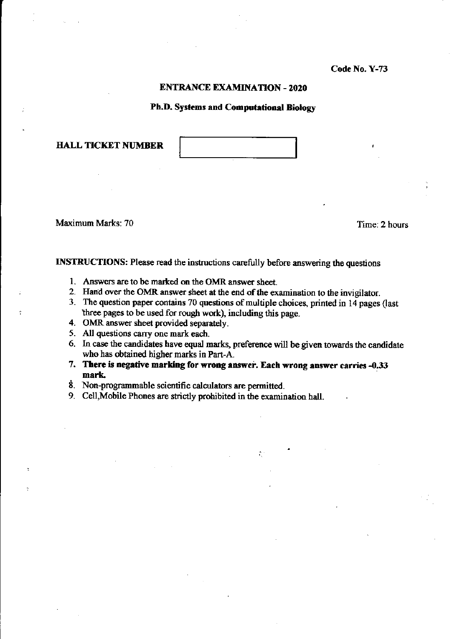# **ENTRANCE EXAMINATION - 2020**

# Ph.D. Systems and Computational Biology

**HALL TICKET NUMBER** 

Maximum Marks: 70

Time: 2 hours

INSTRUCTIONS: Please read the instructions carefully before answering the questions

- 1. Answers are to be marked on the OMR answer sheet.
- 2. Hand over the OMR answer sheet at the end of the examination to the invigilator.
- 3. The question paper contains 70 questions of multiple choices, printed in 14 pages (last three pages to be used for rough work), including this page.
- 4. OMR answer sheet provided separately.
- 5. All questions carry one mark each.
- 6. In case the candidates have equal marks, preference will be given towards the candidate who has obtained higher marks in Part-A.

 $\mathcal{L}^{\text{c}}_{\text{c}}$ 

- 7. There is negative marking for wrong answer. Each wrong answer carries -0.33 mark.
- 8. Non-programmable scientific calculators are permitted.
- 9. Cell, Mobile Phones are strictly prohibited in the examination hall.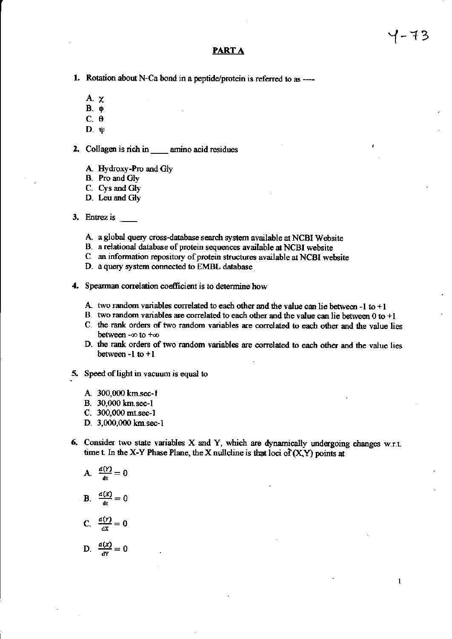# **PARTA**

- 1. Rotation about N-Ca bond in a peptide/protein is referred to as ----
	- $A. \chi$
	- $B.$   $\phi$
	- $C. \theta$
	- $D. \psi$

2. Collagen is rich in amino acid residues

- A. Hydroxy-Pro and Gly
- B. Pro and Gly
- C. Cys and Gly
- D. Leu and Gly
- 3. Entrez is  $\qquad \qquad$ 
	- A. a global query cross-database search system available at NCBI Website
	- B. a relational database of protein sequences available at NCBI website
	- C. an information repository of protein structures available at NCBI website
	- D. a query system connected to EMBL database
- 4. Spearman correlation coefficient is to determine how
	- A. two random variables correlated to each other and the value can lie between -1 to  $+1$
	- B. two random variables are correlated to each other and the value can lie between  $0$  to  $+1$
	- C. the rank orders of two random variables are correlated to each other and the value lies between -00 to +00
	- D. the rank orders of two random variables are correlated to each other and the value lies between -1 to  $+1$
- 5. Speed of light in vacuum is equal to
	- A. 300,000 km.sec-1
	- B. 30,000 km sec-1
	- C. 300,000 mt.sec-1
	- D. 3,000,000 km.sec-1
- 6. Consider two state variables X and Y, which are dynamically undergoing changes w.r.t. time t. In the X-Y Phase Plane, the X nullcline is that loci of  $(X, Y)$  points at

A. 
$$
\frac{d(Y)}{dt} = 0
$$
  
\nB. 
$$
\frac{d(X)}{dt} = 0
$$
  
\nC. 
$$
\frac{d(Y)}{dX} = 0
$$

D. 
$$
\frac{d(x)}{dy} = 0
$$

 $\mathbf{1}$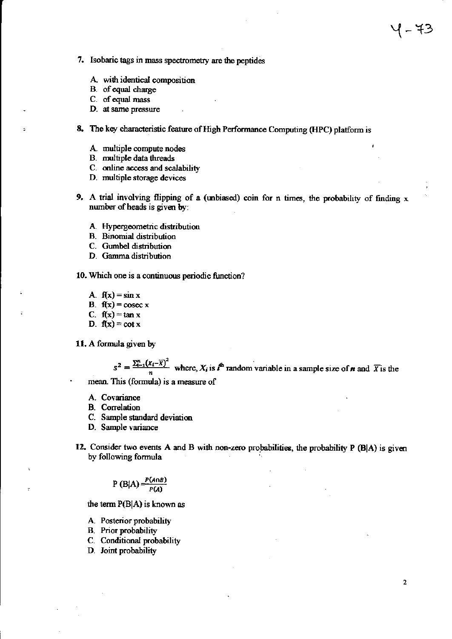- 7. Isobaric tags in mass spectrometry are the peptides
	- A. with identical composition
	- B. of equal charge
	- C. of equal mass
	- D. at same pressure
- 8. The key characteristic feature of High Performance Computing (HPC) platform is
	- A. multiple compute nodes
	- B. multiple data threads
	- C. online access and scalability
	- D. multiple storage devices
- 9. A trial involving flipping of a (unbiased) coin for n times, the probability of finding x number of heads is given by:
	- A. Hypergeometric distribution
	- **B.** Binomial distribution
	- C. Gumbel distribution
	- D. Gamma distribution
- 10. Which one is a continuous periodic function?
	- A.  $f(x) = \sin x$
	- B.  $f(x) = \csc x$
	- C.  $f(x) = \tan x$
	- D.  $f(x) = \cot x$
- 11. A formula given by

 $s^2 = \frac{\sum_{i=1}^{n} (X_i - \overline{X})^2}{n}$  where,  $X_i$  is  $\overline{I}^h$  random variable in a sample size of *n* and  $\overline{X}$  is the

mean. This (formula) is a measure of

- A. Covariance
- **B.** Correlation
- C. Sample standard deviation
- D. Sample variance
- 12. Consider two events A and B with non-zero probabilities, the probability P (B|A) is given by following formula

$$
P(B|A) = \frac{P(A \cap B)}{P(A)}
$$

the term P(B|A) is known as

- A. Posterior probability
- **B.** Prior probability
- C. Conditional probability
- D. Joint probability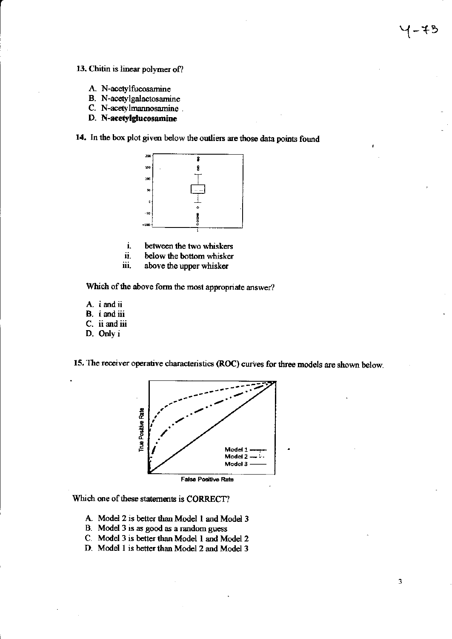- 13. Chitin is linear polymer of?
	- A. N-acetylfucosamine
	- B. N-acetylgalactosamine
	- C. N-acetylmannosamine.
	- D. N-acetylglucosamine

14. In the box plot given below the outliers are those data points found



- i. between the two whiskers
- $\mathbf{u}$  . below the bottom whisker
- iii. above the upper whisker

Which of the above form the most appropriate answer?

- A. i and ii
- B. i and iii
- C. ii and iii
- D. Only i

15. The receiver operative characteristics (ROC) curves for three models are shown below.



Which one of these statements is CORRECT?

- A. Model 2 is better than Model 1 and Model 3
- B. Model 3 is as good as a random guess
- C. Model 3 is better than Model 1 and Model 2
- D. Model 1 is better than Model 2 and Model 3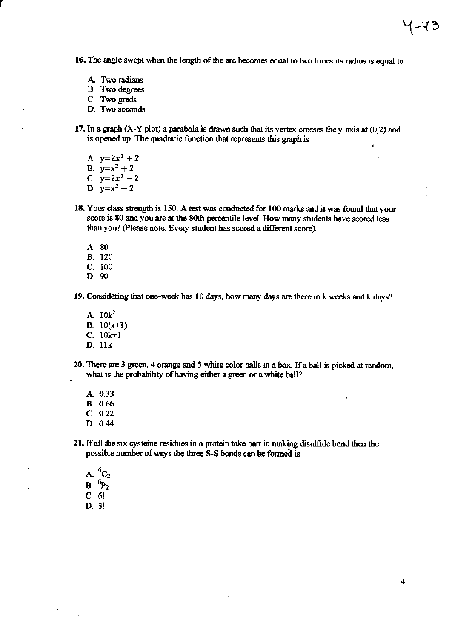16. The angle swept when the length of the arc becomes equal to two times its radius is equal to

- A. Two radians
- **B.** Two degrees
- C. Two grads
- D. Two seconds
- 17. In a graph  $(X-Y$  plot) a parabola is drawn such that its vertex crosses the y-axis at  $(0,2)$  and is opened up. The quadratic function that represents this graph is

A.  $y=2x^2+2$ 

- B.  $y=x^2+2$
- C.  $y=2x^2-2$
- D.  $y=x^2-2$
- 18. Your class strength is 150. A test was conducted for 100 marks and it was found that your score is 80 and you are at the 80th percentile level. How many students have scored less than you? (Please note: Every student has scored a different score).
	- A. 80
	- **B.** 120
	- C. 100
	- D. 90

19. Considering that one-week has 10 days, how many days are there in k weeks and k days?

- A.  $10k^2$
- B.  $10(k+1)$
- $C. 10k+1$
- D. 11k
- 20. There are 3 green, 4 orange and 5 white color balls in a box. If a ball is picked at random, what is the probability of having either a green or a white ball?
	- A. 0.33 **B.** 0.66  $C. 0.22$
	- $D. 0.44$

21. If all the six cysteine residues in a protein take part in making disulfide bond then the possible number of ways the three S-S bonds can be formed is

- A.  ${}^{6}C_{2}$ B.  ${}^6P_2$  $C. 6!$
- $D = 3!$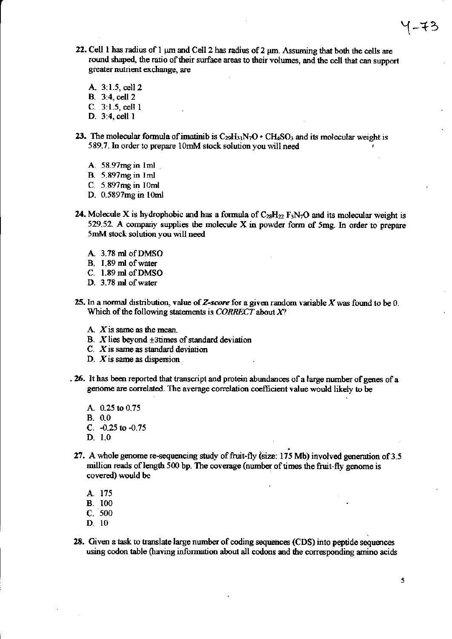- 22. Cell 1 has radius of 1 µm and Cell 2 has radius of 2 µm. Assuming that both the cells are round shaped, the ratio of their surface areas to their volumes, and the cell that can support greater nutrient exchange, are
	- A. 3:1.5, cell 2 **B.** 3:4, cell 2
	- $C. 3:1.5,$  cell 1
	- D. 3:4, cell 1
- 23. The molecular formula of imatinib is  $C_{29}H_{31}N_7O \cdot CH_4SO_3$  and its molecular weight is 589.7. In order to prepare 10mM stock solution you will need
	- A.  $58.97mg$  in 1ml
	- **B.** 5.897mg in 1ml
	- C. 5.897mg in 10ml
	- D. 0.5897mg in 10ml
- 24. Molecule X is hydrophobic and has a formula of  $C_{28}H_{22}F_3N_7O$  and its molecular weight is 529.52. A company supplies the molecule X in powder form of 5mg. In order to prepare 5mM stock solution you will need
	- A. 3.78 ml of DMSO
	- B. 1.89 ml of water
	- C. 1.89 ml of DMSO
	- D. 3.78 ml of water
- 25. In a normal distribution, value of Z-score for a given random variable  $X$  was found to be 0. Which of the following statements is  $CORRECT$  about  $X$ ?
	- A.  $X$  is same as the mean.
	- B.  $X$  lies beyond  $\pm 3$  times of standard deviation
	- $C.$  X is same as standard deviation
	- D.  $X$  is same as dispersion
- . 26. It has been reported that transcript and protein abundances of a large number of genes of a genome are correlated. The average correlation coefficient value would likely to be
	- A 0.25 to 0.75  $B. 0.0$
	- C.  $-0.25$  to  $-0.75$
	- $D. 1.0$
- 27. A whole genome re-sequencing study of fruit-fly (size: 175 Mb) involved generation of 3.5 million reads of length 500 bp. The coverage (number of times the fruit-fly genome is covered) would be
	- A. 175
	- **B.** 100
	- $C.500$
	- $D. 10$
- 28. Given a task to translate large number of coding sequences (CDS) into peptide sequences using codon table (having information about all codons and the corresponding amino acids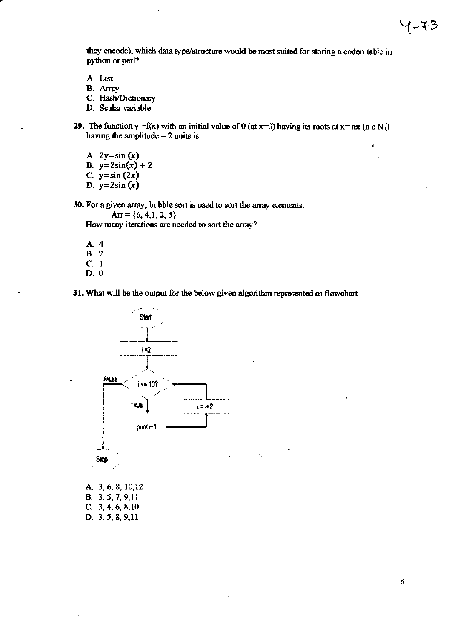they encode), which data type/structure would be most suited for storing a codon table in python or perl?

- A. List
- **B.** Array
- C. Hash/Dictionary
- D. Scalar variable
- 29. The function y = f(x) with an initial value of 0 (at x=0) having its roots at x=  $n\pi$  (n  $\epsilon$  N<sub>1</sub>) having the amplitude  $= 2$  units is
	- A.  $2y=sin(x)$
	- B.  $y=2\sin(x)+2$
	- C.  $y=sin(2x)$
	- D.  $y=2\sin(x)$

30. For a given array, bubble sort is used to sort the array elements.

 $Ar = \{6, 4, 1, 2, 5\}$ 

How many iterations are needed to sort the array?

- A. 4 **B.** 2
- $C. 1$
- $D. 0$

31. What will be the output for the below given algorithm represented as flowchart

ŕ,



A. 3, 6, 8, 10, 12 B. 3, 5, 7, 9, 11 C.  $3, 4, 6, 8, 10$ D. 3, 5, 8, 9, 11

6

イーモン

ł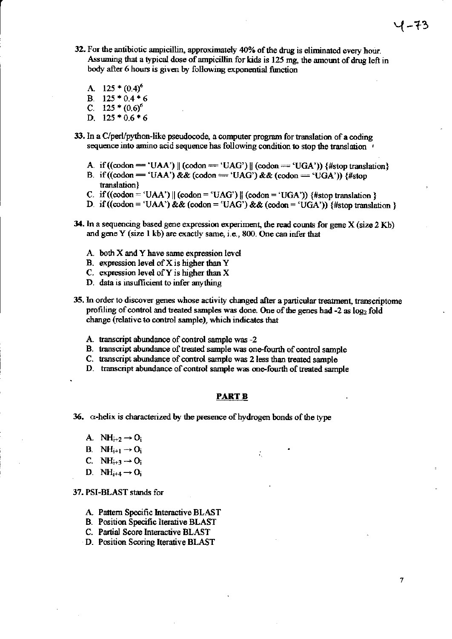32. For the antibiotic ampicillin, approximately 40% of the drug is eliminated every hour. Assuming that a typical dose of ampicillin for kids is 125 mg, the amount of drug left in body after 6 hours is given by following exponential function

A.  $125 \cdot (0.4)^6$ B.  $125 * 0.4 * 6$ C. 125 \*  $(0.6)^6$ D.  $125 * 0.6 * 6$ 

- 33. In a C/perl/python-like pseudocode, a computer program for translation of a coding sequence into amino acid sequence has following condition to stop the translation '
	- A. if  $((\text{codon} = 'UAA') \parallel (\text{codon} = 'UAG') \parallel (\text{codon} = 'UGA'))$  {#stop translation}
	- B. if ((codon = 'UAA') && (codon = 'UAG') && (codon = 'UGA')) {#stop translation}
	- C. if  $((\text{codon} = 'UAA') || (\text{codon} = 'UAG') || (\text{codon} = 'UGA'))$  {#stop translation }
	- D. if ((codon = 'UAA') && (codon = 'UAG') && (codon = 'UGA')) {#stop translation }
- 34. In a sequencing based gene expression experiment, the read counts for gene X (size 2 Kb) and gene Y (size 1 kb) are exactly same, i.e., 800. One can infer that
	- A. both X and Y have same expression level
	- B. expression level of  $X$  is higher than  $Y$
	- C. expression level of Y is higher than  $X$
	- D. data is insufficient to infer anything
- 35. In order to discover genes whose activity changed after a particular treatment, transcriptome profiling of control and treated samples was done. One of the genes had -2 as log<sub>2</sub> fold change (relative to control sample), which indicates that
	- A transcript abundance of control sample was -2
	- B. transcript abundance of treated sample was one-fourth of control sample
	- C. transcript abundance of control sample was 2 less than treated sample
	- D. transcript abundance of control sample was one-fourth of treated sample

#### <u>PART B</u>

36.  $\alpha$ -helix is characterized by the presence of hydrogen bonds of the type

- A.  $NH_{i+2} \rightarrow O_i$
- **B.** NH<sub>i+1</sub>  $\rightarrow$  O<sub>i</sub>
- C.  $NH_{i+3} \rightarrow O_i$
- D. NH<sub>i+4</sub>  $\rightarrow$  O<sub>i</sub>

### 37. PSI-BLAST stands for

- A. Pattern Specific Interactive BLAST
- **B.** Position Specific Iterative BLAST
- C. Partial Score Interactive BLAST
- D. Position Scoring Iterative BLAST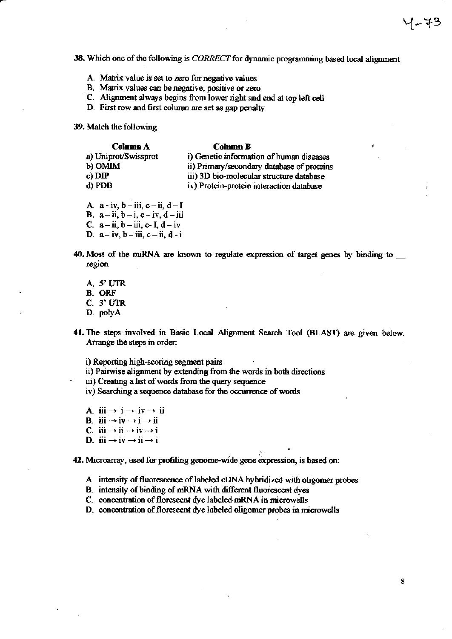38. Which one of the following is CORRECT for dynamic programming based local alignment

- A. Matrix value is set to zero for negative values
- B. Matrix values can be negative, positive or zero
- C. Alignment always begins from lower right and end at top left cell
- D. First row and first column are set as gap penalty

# 39. Match the following

#### **Column A Column B** a) Uniprot/Swissprot i) Genetic information of human diseases b) OMIM ii) Primary/secondary database of proteins c) DIP iii) 3D bio-molecular structure database d) PDB iv) Protein-protein interaction database

- A.  $a iv$ ,  $b iii$ ,  $c ii$ ,  $d I$ B.  $a - ii$ ,  $b - i$ ,  $c - iv$ ,  $d - iii$
- C.  $a ii$ ,  $b iii$ , c-I,  $d iv$
- D.  $a-iv, b-iii, c-ii, d-i$
- 40. Most of the miRNA are known to regulate expression of target genes by binding to region
	- A. 5' UTR **B.** ORF C. 3' UTR D. polyA
- 41. The steps involved in Basic Local Alignment Search Tool (BLAST) are given below. Arrange the steps in order:

i) Reporting high-scoring segment pairs

ii) Pairwise alignment by extending from the words in both directions

iii) Creating a list of words from the query sequence

- iv) Searching a sequence database for the occurrence of words
- A.  $iii \rightarrow i \rightarrow iv \rightarrow ii$ **B.** iii  $\rightarrow$  iv  $\rightarrow$  i  $\rightarrow$  ii C.  $iii \rightarrow ii \rightarrow iv \rightarrow i$ D. iii  $\rightarrow$  iv  $\rightarrow$  ii  $\rightarrow$  i

42. Microarray, used for profiling genome-wide gene expression, is based on:

- A. intensity of fluorescence of labeled cDNA hybridized with oligomer probes
- B. intensity of binding of mRNA with different fluorescent dyes
- C. concentration of florescent dye labeled mRNA in microwells
- D. concentration of florescent dye labeled oligomer probes in microwells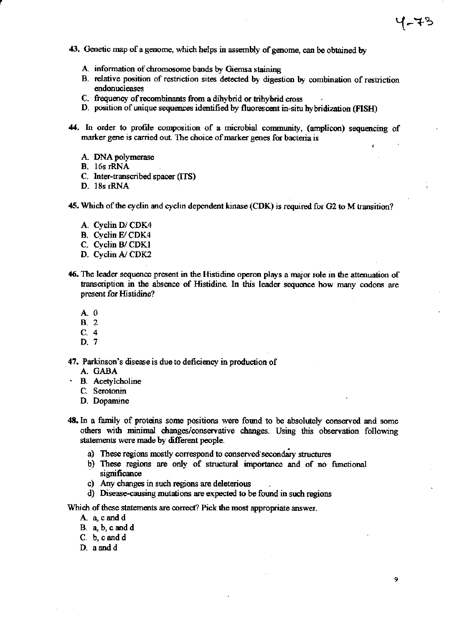- 43. Genetic map of a genome, which helps in assembly of genome, can be obtained by
	- A. information of chromosome bands by Giemsa staining
	- B. relative position of restriction sites detected by digestion by combination of restriction endonucleases
	- C. frequency of recombinants from a dihybrid or trihybrid cross
	- D. position of unique sequences identified by fluorescent in-situ hybridization (FISH)
- 44. In order to profile composition of a microbial community, (amplicon) sequencing of marker gene is carried out. The choice of marker genes for bacteria is
	- A. DNA polymerase
	- B. 16s rRNA
	- C. Inter-transcribed spacer (ITS)
	- D. 18s rRNA

45. Which of the cyclin and cyclin dependent kinase (CDK) is required for G2 to M transition?

- A. Cyclin D/CDK4
- B. Cyclin E/CDK4
- C. Cyclin B/CDK1
- D. Cyclin A/CDK2
- 46. The leader sequence present in the Histidine operon plays a major role in the attenuation of transcription in the absence of Histidine. In this leader sequence how many codons are present for Histidine?
	- $A \ 0$
	- **B.** 2
	- $C.4$
	- D. 7

47. Parkinson's disease is due to deficiency in production of

- A. GABA
- **B.** Acetylcholine
	- C. Serotonin
	- D. Dopamine
- 48. In a family of proteins some positions were found to be absolutely conserved and some others with minimal changes/conservative changes. Using this observation following statements were made by different people.
	- a) These regions mostly correspond to conserved secondary structures
	- b) These regions are only of structural importance and of no functional significance
	- c) Any changes in such regions are deleterious
	- d) Disease-causing mutations are expected to be found in such regions

Which of these statements are correct? Pick the most appropriate answer.

- A. a, c and d
- B. a, b, c and d
- C. b, c and d
- D. a and d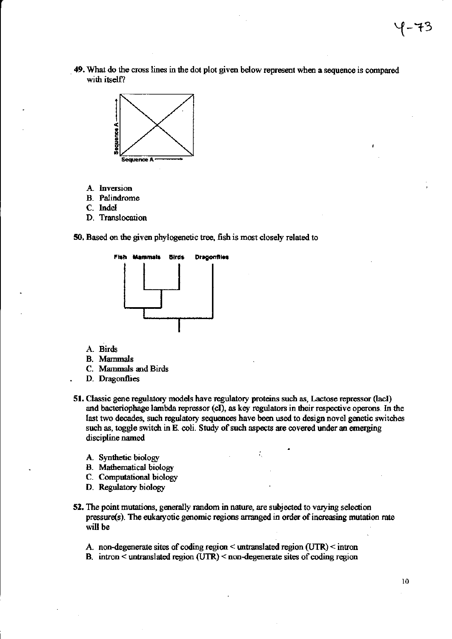49. What do the cross lines in the dot plot given below represent when a sequence is compared with itself?



- A. Inversion
- **B.** Palindrome
- C. Indel
- D. Translocation

50. Based on the given phylogenetic tree, fish is most closely related to



- A. Birds
- **B.** Mammals
- C. Mammals and Birds
- D. Dragonflies
- 51. Classic gene regulatory models have regulatory proteins such as, Lactose repressor (lacI) and bacteriophage lambda repressor (cI), as key regulators in their respective operons. In the last two decades, such regulatory sequences have been used to design novel genetic switches such as, toggle switch in E. coli. Study of such aspects are covered under an emerging discipline named
	- A. Synthetic biology
	- **B.** Mathematical biology
	- C. Computational biology
	- D. Regulatory biology
- 52. The point mutations, generally random in nature, are subjected to varying selection pressure(s). The eukaryotic genomic regions arranged in order of increasing mutation rate will be
	- A. non-degenerate sites of coding region < untranslated region (UTR) < intron
	- B. intron  $\leq$  untranslated region (UTR)  $\leq$  non-degenerate sites of coding region

10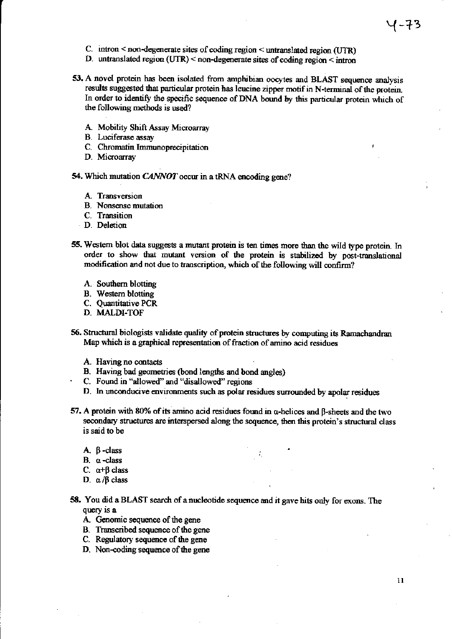- C. intron < non-degenerate sites of coding region < untranslated region (UTR)
- D. untranslated region (UTR) < non-degenerate sites of coding region  $\leq$  intron
- 53. A novel protein has been isolated from amphibian oocytes and BLAST sequence analysis results suggested that particular protein has leucine zipper motif in N-terminal of the protein. In order to identify the specific sequence of DNA bound by this particular protein which of the following methods is used?
	- A. Mobility Shift Assay Microarray
	- **B.** Luciferase assay
	- C. Chromatin Immunoprecipitation
	- D. Microarray
- 54. Which mutation CANNOT occur in a tRNA encoding gene?
	- A. Transversion
	- **B.** Nonsense mutation
	- C. Transition
	- D. Deletion
- 55. Western blot data suggests a mutant protein is ten times more than the wild type protein. In order to show that mutant version of the protein is stabilized by post-translational modification and not due to transcription, which of the following will confirm?
	- A. Southern blotting
	- **B.** Western blotting
	- C. Ouantitative PCR
	- D. MALDI-TOF
- 56. Structural biologists validate quality of protein structures by computing its Ramachandran Map which is a graphical representation of fraction of amino acid residues
	- A. Having no contacts
	- B. Having bad geometries (bond lengths and bond angles)
	- C. Found in "allowed" and "disallowed" regions
	- D. In unconducive environments such as polar residues surrounded by apolar residues
- 57. A protein with 80% of its amino acid residues found in  $\alpha$ -helices and  $\beta$ -sheets and the two secondary structures are interspersed along the sequence, then this protein's structural class is said to be
	- $A. \beta$ -class
	- B. a-class
	- C.  $\alpha+\beta$  class
	- D.  $\alpha$ / $\beta$  class
- 58. You did a BLAST search of a nucleotide sequence and it gave hits only for exons. The query is a
	- A. Genomic sequence of the gene
	- B. Transcribed sequence of the gene
	- C. Regulatory sequence of the gene
	- D. Non-coding sequence of the gene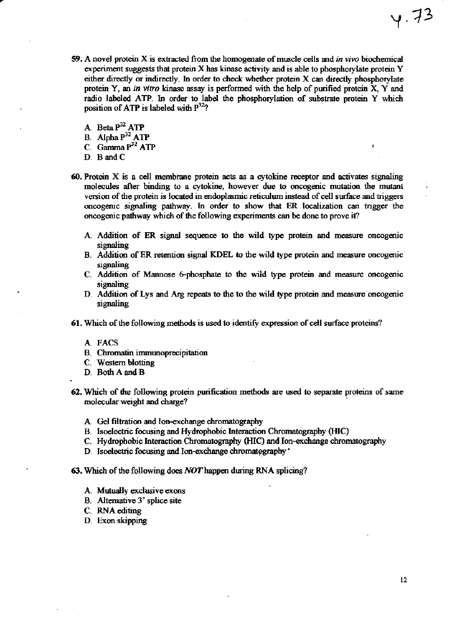- 59. A novel protein X is extracted from the homogenate of muscle cells and in vivo biochemical experiment suggests that protein X has kinase activity and is able to phosphorylate protein Y either directly or indirectly. In order to check whether protein X can directly phosphorylate protein Y, an in vitro kinase assay is performed with the help of purified protein X, Y and radio labeled ATP. In order to label the phosphorylation of substrate protein Y which position of ATP is labeled with  $P^{32}$ ?
	- A. Beta P<sup>32</sup> ATP
	- B. Alpha P<sup>32</sup> ATP
	- C. Gamma  $P^{32}$  ATP
	- D. B and C
- 60. Protein X is a cell membrane protein acts as a cytokine receptor and activates signaling molecules after binding to a cytokine, however due to oncogenic mutation the mutant version of the protein is located in endoplasmic reticulum instead of cell surface and triggers oncogenic signaling pathway. In order to show that ER localization can trigger the oncogenic pathway which of the following experiments can be done to prove it?
	- A. Addition of ER signal sequence to the wild type protein and measure oncogenic signaling
	- B. Addition of ER retention signal KDEL to the wild type protein and measure oncogenic signaling
	- C. Addition of Mannose 6-phosphate to the wild type protein and measure oncogenic signaling
	- D. Addition of Lys and Arg repeats to the to the wild type protein and measure oncogenic signaling
- 61. Which of the following methods is used to identify expression of cell surface proteins?
	- A. FACS
	- B. Chromatin immunoprecipitation
	- C. Western blotting
	- D. Both A and B
- 62. Which of the following protein purification methods are used to separate proteins of same molecular weight and charge?
	- A. Gel filtration and Ion-exchange chromatography
	- B. Isoelectric focusing and Hydrophobic Interaction Chromatography (HIC)
	- C. Hydrophobic Interaction Chromatography (HIC) and Ion-exchange chromatography
	- D. Isoelectric focusing and Ion-exchange chromatography\*
- 63. Which of the following does NOT happen during RNA splicing?
	- A. Mutually exclusive exons
	- B. Alternative 3' splice site
	- C. RNA editing
	- D. Exon skipping

 $4.73$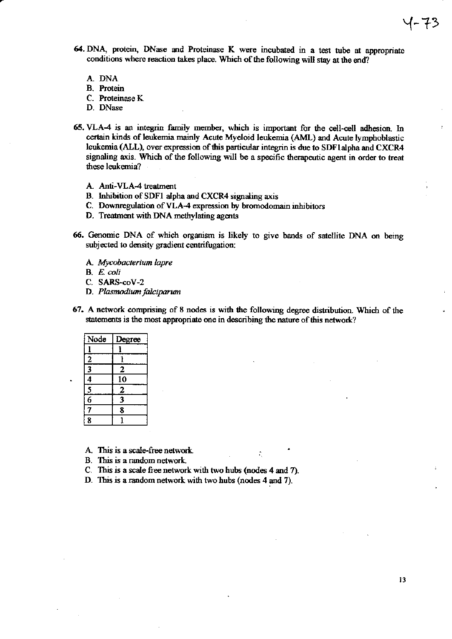- 64. DNA, protein, DNase and Proteinase K were incubated in a test tube at appropriate conditions where reaction takes place. Which of the following will stay at the end?
	- A. DNA
	- **B.** Protein
	- C. Proteinase K.
	- D. DNase
- 65. VLA-4 is an integrin family member, which is important for the cell-cell adhesion. In certain kinds of leukemia mainly Acute Myeloid leukemia (AML) and Acute lymphoblastic leukemia (ALL), over expression of this particular integrin is due to SDF1 alpha and CXCR4 signaling axis. Which of the following will be a specific therapeutic agent in order to treat these leukemia?
	- A. Anti-VLA-4 treatment
	- B. Inhibition of SDF1 alpha and CXCR4 signaling axis
	- C. Downregulation of VLA-4 expression by bromodomain inhibitors
	- D. Treatment with DNA methylating agents
- 66. Genomic DNA of which organism is likely to give bands of satellite DNA on being subjected to density gradient centrifugation:
	- A. Mycobacterium lapre
	- B. E. coli
	- C. SARS-coV-2
	- D. Plasmodium falciparum
- 67. A network comprising of 8 nodes is with the following degree distribution. Which of the statements is the most appropriate one in describing the nature of this network?

÷.

| Node           | Degree                  |
|----------------|-------------------------|
|                |                         |
|                | ı                       |
| $\frac{2}{3}$  | 2                       |
| $\frac{1}{4}$  | 10                      |
| $\overline{5}$ | $\overline{2}$          |
| $\overline{6}$ | $\overline{\mathbf{3}}$ |
| 7              | 8                       |
| 8              |                         |

A. This is a scale-free network.

- B. This is a random network.
- C. This is a scale free network with two hubs (nodes 4 and 7).
- D. This is a random network with two hubs (nodes 4 and 7).